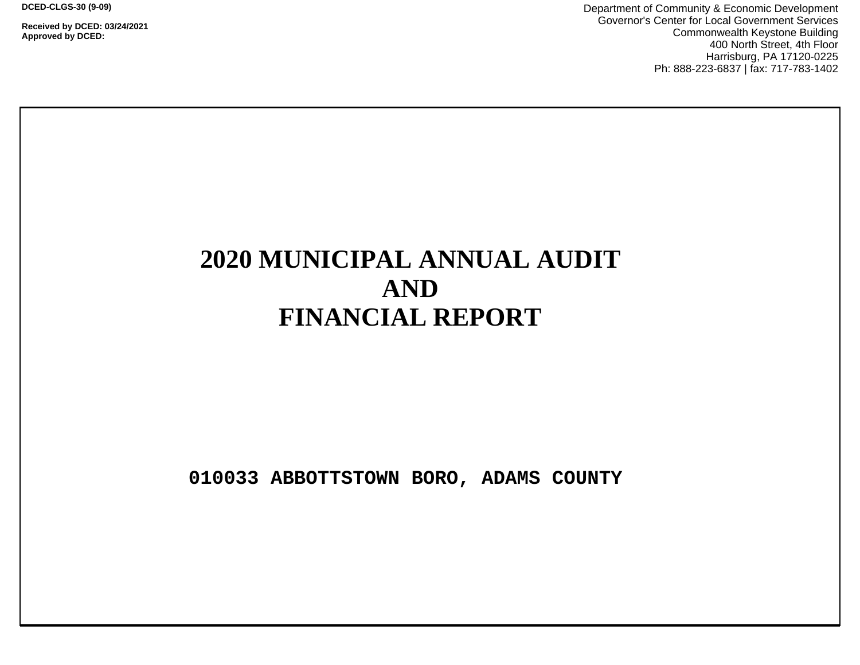**DCED-CLGS-30 (9-09)**

**Received by DCED: 03/24/2021 Approved by DCED:** 

Department of Community & Economic Development Governor's Center for Local Government Services Commonwealth Keystone Building 400 North Street, 4th Floor Harrisburg, PA 17120-0225 Ph: 888-223-6837 | fax: 717-783-1402

# **2020 MUNICIPAL ANNUAL AUDIT AND FINANCIAL REPORT**

**010033 ABBOTTSTOWN BORO, ADAMS COUNTY**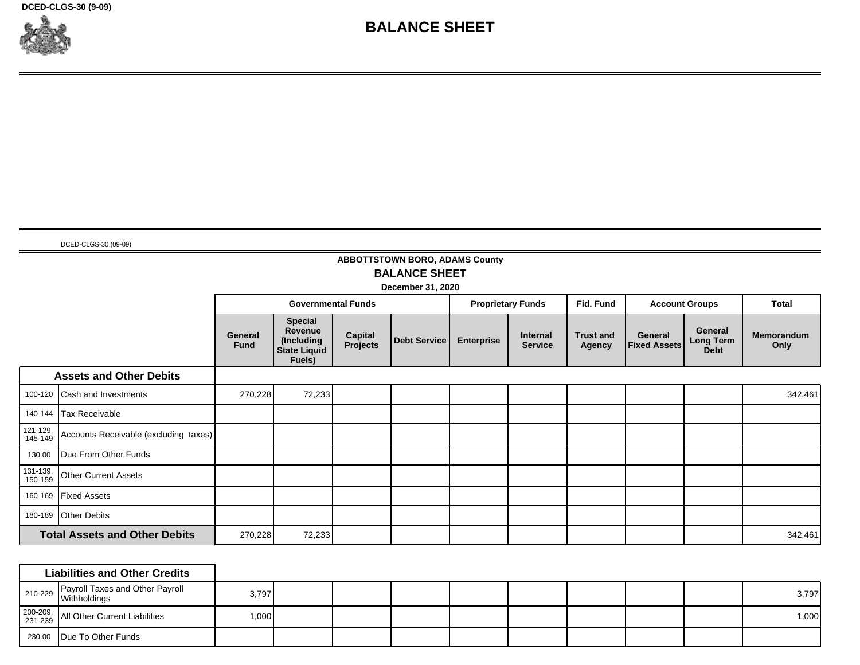**DCED-CLGS-30 (9-09)**



# **BALANCE SHEET**

DCED-CLGS-30 (09-09)

## **ABBOTTSTOWN BORO, ADAMS County BALANCE SHEET**

**December 31, 2020** ┲

┯

┯

┯

|                     |                                       |                        | <b>Governmental Funds</b>                                                       |                     |              |                   | <b>Proprietary Funds</b>          | Fid. Fund                  |                                | <b>Account Groups</b>               | <b>Total</b>              |
|---------------------|---------------------------------------|------------------------|---------------------------------------------------------------------------------|---------------------|--------------|-------------------|-----------------------------------|----------------------------|--------------------------------|-------------------------------------|---------------------------|
|                     |                                       | General<br><b>Fund</b> | <b>Special</b><br><b>Revenue</b><br>(Including<br><b>State Liquid</b><br>Fuels) | Capital<br>Projects | Debt Service | <b>Enterprise</b> | <b>Internal</b><br><b>Service</b> | <b>Trust and</b><br>Agency | General<br><b>Fixed Assets</b> | General<br>Long Term<br><b>Debt</b> | <b>Memorandum</b><br>Only |
|                     | <b>Assets and Other Debits</b>        |                        |                                                                                 |                     |              |                   |                                   |                            |                                |                                     |                           |
| 100-120             | Cash and Investments                  | 270,228                | 72,233                                                                          |                     |              |                   |                                   |                            |                                |                                     | 342,461                   |
| 140-144             | Tax Receivable                        |                        |                                                                                 |                     |              |                   |                                   |                            |                                |                                     |                           |
| 121-129,<br>145-149 | Accounts Receivable (excluding taxes) |                        |                                                                                 |                     |              |                   |                                   |                            |                                |                                     |                           |
| 130.00              | Due From Other Funds                  |                        |                                                                                 |                     |              |                   |                                   |                            |                                |                                     |                           |
| 131-139,<br>150-159 | <b>Other Current Assets</b>           |                        |                                                                                 |                     |              |                   |                                   |                            |                                |                                     |                           |
| 160-169             | <b>Fixed Assets</b>                   |                        |                                                                                 |                     |              |                   |                                   |                            |                                |                                     |                           |
| 180-189             | <b>Other Debits</b>                   |                        |                                                                                 |                     |              |                   |                                   |                            |                                |                                     |                           |
|                     | <b>Total Assets and Other Debits</b>  | 270,228                | 72,233                                                                          |                     |              |                   |                                   |                            |                                |                                     | 342,461                   |

| <b>Liabilities and Other Credits</b>                             |        |  |  |  |  |       |
|------------------------------------------------------------------|--------|--|--|--|--|-------|
| Payroll Taxes and Other Payroll<br>$\frac{10}{229}$ Withholdings | 3,797  |  |  |  |  | 3,797 |
| 200-209, All Other Current Liabilities                           | ا000.⊧ |  |  |  |  | 1,000 |
| 230.00   Due To Other Funds                                      |        |  |  |  |  |       |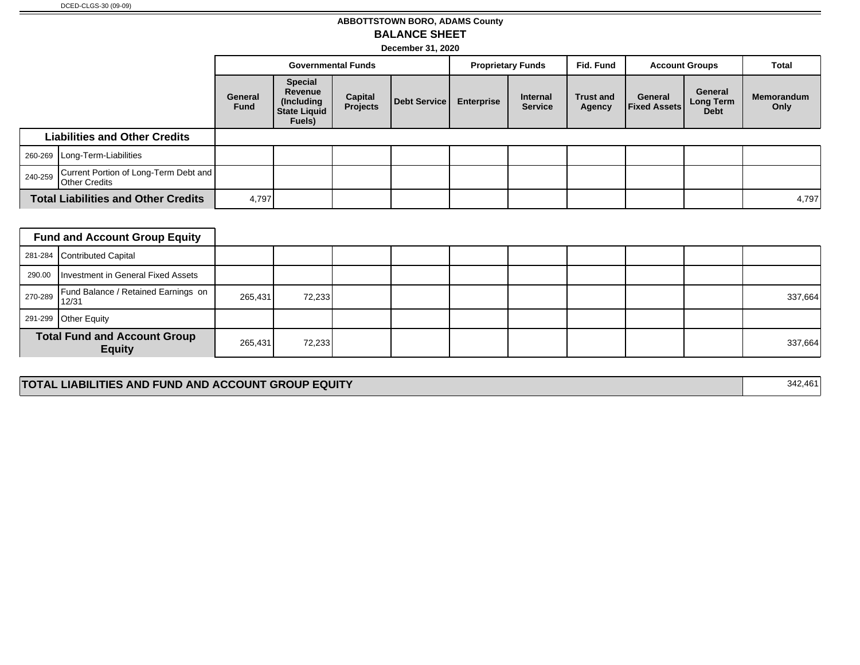### **ABBOTTSTOWN BORO, ADAMS County BALANCE SHEET**

**December 31, 2020**

|                                                                          |                                            |                        | <b>Governmental Funds</b>                                                |                            |              | <b>Proprietary Funds</b> |                            | Fid. Fund                  | <b>Account Groups</b>          |                                     | Total              |
|--------------------------------------------------------------------------|--------------------------------------------|------------------------|--------------------------------------------------------------------------|----------------------------|--------------|--------------------------|----------------------------|----------------------------|--------------------------------|-------------------------------------|--------------------|
|                                                                          |                                            | General<br><b>Fund</b> | <b>Special</b><br>Revenue<br>(Including<br><b>State Liquid</b><br>Fuels) | <b>Capital</b><br>Projects | Debt Service | <b>Enterprise</b>        | Internal<br><b>Service</b> | <b>Trust and</b><br>Agency | General<br><b>Fixed Assets</b> | General<br>Long Term<br><b>Debt</b> | Memorandum<br>Only |
|                                                                          | <b>Liabilities and Other Credits</b>       |                        |                                                                          |                            |              |                          |                            |                            |                                |                                     |                    |
|                                                                          | 260-269 Long-Term-Liabilities              |                        |                                                                          |                            |              |                          |                            |                            |                                |                                     |                    |
| Current Portion of Long-Term Debt and<br>240-259<br><b>Other Credits</b> |                                            |                        |                                                                          |                            |              |                          |                            |                            |                                |                                     |                    |
|                                                                          | <b>Total Liabilities and Other Credits</b> |                        | 4,797                                                                    |                            |              |                          |                            |                            |                                |                                     | 4,797              |

|         | <b>Fund and Account Group Equity</b>                 |         |        |  |  |  |         |
|---------|------------------------------------------------------|---------|--------|--|--|--|---------|
|         | 281-284 Contributed Capital                          |         |        |  |  |  |         |
|         | 290.00   Investment in General Fixed Assets          |         |        |  |  |  |         |
| 270-289 | Fund Balance / Retained Earnings on<br>12/31         | 265,431 | 72,233 |  |  |  | 337,664 |
|         | 291-299 Other Equity                                 |         |        |  |  |  |         |
|         | <b>Total Fund and Account Group</b><br><b>Equity</b> | 265,431 | 72,233 |  |  |  | 337,664 |

#### **TOTAL LIABILITIES AND FUND AND ACCOUNT GROUP EQUITY** 342,461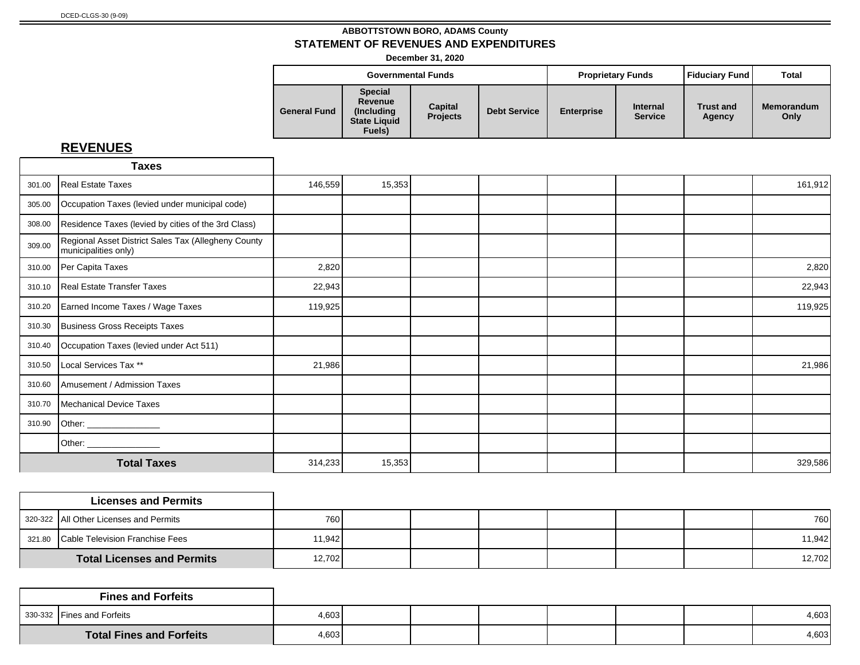**December 31, 2020**

|                     |                                                                           | <b>Governmental Funds</b>  |                     | <b>Proprietary Funds</b> |                                   | Fiduciary Fund             | Total                     |
|---------------------|---------------------------------------------------------------------------|----------------------------|---------------------|--------------------------|-----------------------------------|----------------------------|---------------------------|
| <b>General Fund</b> | <b>Special</b><br>Revenue<br>(Including)<br><b>State Liquid</b><br>Fuels) | Capital<br><b>Projects</b> | <b>Debt Service</b> | <b>Enterprise</b>        | <b>Internal</b><br><b>Service</b> | <b>Trust and</b><br>Agency | <b>Memorandum</b><br>Only |

|        | <b>Taxes</b>                                                                |         |        |  |  |         |
|--------|-----------------------------------------------------------------------------|---------|--------|--|--|---------|
| 301.00 | Real Estate Taxes                                                           | 146,559 | 15,353 |  |  | 161,912 |
| 305.00 | Occupation Taxes (levied under municipal code)                              |         |        |  |  |         |
| 308.00 | Residence Taxes (levied by cities of the 3rd Class)                         |         |        |  |  |         |
| 309.00 | Regional Asset District Sales Tax (Allegheny County<br>municipalities only) |         |        |  |  |         |
| 310.00 | Per Capita Taxes                                                            | 2,820   |        |  |  | 2,820   |
| 310.10 | Real Estate Transfer Taxes                                                  | 22,943  |        |  |  | 22,943  |
| 310.20 | Earned Income Taxes / Wage Taxes                                            | 119,925 |        |  |  | 119,925 |
| 310.30 | Business Gross Receipts Taxes                                               |         |        |  |  |         |
| 310.40 | Occupation Taxes (levied under Act 511)                                     |         |        |  |  |         |
| 310.50 | Local Services Tax **                                                       | 21,986  |        |  |  | 21,986  |
| 310.60 | Amusement / Admission Taxes                                                 |         |        |  |  |         |
| 310.70 | Mechanical Device Taxes                                                     |         |        |  |  |         |
| 310.90 | Other: ______________                                                       |         |        |  |  |         |
|        |                                                                             |         |        |  |  |         |
|        | <b>Total Taxes</b>                                                          | 314,233 | 15,353 |  |  | 329,586 |

| <b>Licenses and Permits</b>            |              |  |  |  |        |
|----------------------------------------|--------------|--|--|--|--------|
| 320-322 All Other Licenses and Permits | 760 <b>I</b> |  |  |  | 760    |
| 321.80 Cable Television Franchise Fees | 11.942       |  |  |  | 11,942 |
| <b>Total Licenses and Permits</b>      | 12,702       |  |  |  | 12,702 |

|                                 | <b>Fines and Forfeits</b>  |       |  |  |  |       |
|---------------------------------|----------------------------|-------|--|--|--|-------|
|                                 | 330-332 Fines and Forfeits | 4,603 |  |  |  | 4,603 |
| <b>Total Fines and Forfeits</b> |                            | 4,603 |  |  |  | 4,603 |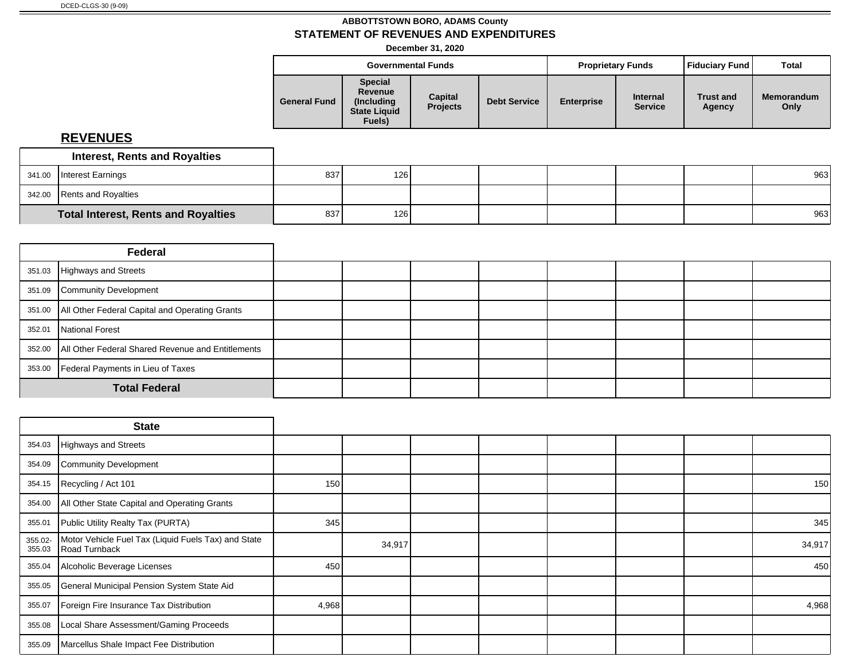**December 31, 2020**

| <b>Special</b><br>Revenue<br>Capital<br><b>Internal</b><br><b>Trust and</b><br><b>General Fund</b><br><b>Debt Service</b><br><b>Enterprise</b><br>(Including)<br><b>Projects</b><br><b>Service</b><br>Only<br>Agency<br><b>State Liquid</b> |        | <b>Governmental Funds</b> |  | <b>Proprietary Funds</b> | Fiduciary Fund | <b>Total</b> |
|---------------------------------------------------------------------------------------------------------------------------------------------------------------------------------------------------------------------------------------------|--------|---------------------------|--|--------------------------|----------------|--------------|
|                                                                                                                                                                                                                                             | Fuels) |                           |  |                          |                | Memorandum   |

|        | <b>Interest, Rents and Royalties</b>       |     |     |  |  |     |
|--------|--------------------------------------------|-----|-----|--|--|-----|
| 341.00 | Interest Earnings                          | 837 | 126 |  |  | 963 |
|        | 342.00 Rents and Royalties                 |     |     |  |  |     |
|        | <b>Total Interest, Rents and Royalties</b> | 837 | 126 |  |  | 963 |

|        | Federal                                                    |  |  |  |  |  |
|--------|------------------------------------------------------------|--|--|--|--|--|
|        | 351.03 Highways and Streets                                |  |  |  |  |  |
| 351.09 | Community Development                                      |  |  |  |  |  |
|        | 351.00   All Other Federal Capital and Operating Grants    |  |  |  |  |  |
| 352.01 | National Forest                                            |  |  |  |  |  |
|        | 352.00   All Other Federal Shared Revenue and Entitlements |  |  |  |  |  |
| 353.00 | Federal Payments in Lieu of Taxes                          |  |  |  |  |  |
|        | <b>Total Federal</b>                                       |  |  |  |  |  |

|                   | <b>State</b>                                                         |       |        |  |  |        |
|-------------------|----------------------------------------------------------------------|-------|--------|--|--|--------|
| 354.03            | Highways and Streets                                                 |       |        |  |  |        |
| 354.09            | Community Development                                                |       |        |  |  |        |
| 354.15            | Recycling / Act 101                                                  | 150   |        |  |  | 150    |
| 354.00            | All Other State Capital and Operating Grants                         |       |        |  |  |        |
| 355.01            | Public Utility Realty Tax (PURTA)                                    | 345   |        |  |  | 345    |
| 355.02-<br>355.03 | Motor Vehicle Fuel Tax (Liquid Fuels Tax) and State<br>Road Turnback |       | 34,917 |  |  | 34,917 |
| 355.04            | Alcoholic Beverage Licenses                                          | 450   |        |  |  | 450    |
| 355.05            | General Municipal Pension System State Aid                           |       |        |  |  |        |
| 355.07            | Foreign Fire Insurance Tax Distribution                              | 4,968 |        |  |  | 4,968  |
| 355.08            | Local Share Assessment/Gaming Proceeds                               |       |        |  |  |        |
| 355.09            | Marcellus Shale Impact Fee Distribution                              |       |        |  |  |        |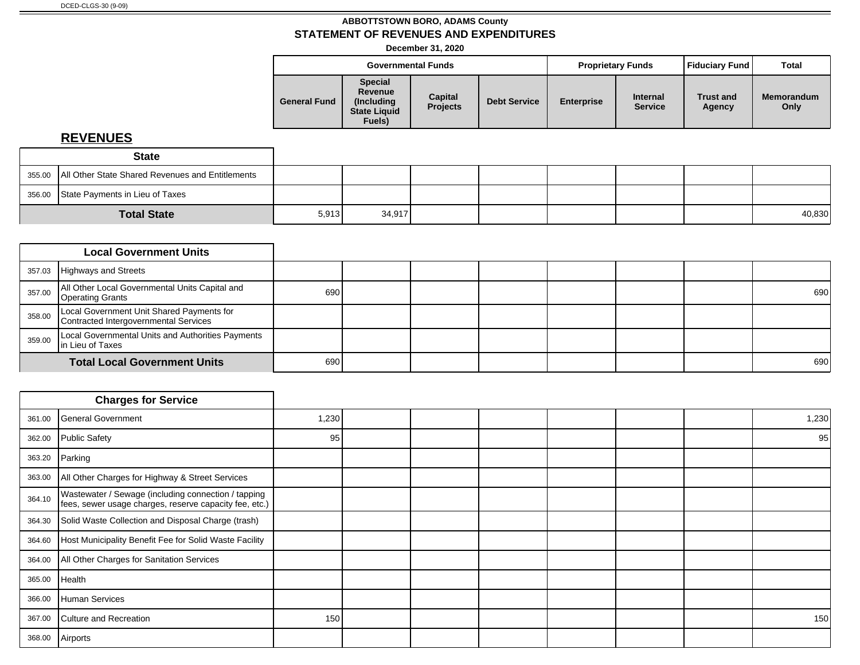**December 31, 2020**

|                     |                                                                           | <b>Governmental Funds</b>  |                     |                   | <b>Proprietary Funds</b>          | <b>Fiduciary Fund</b>      | Total                     |
|---------------------|---------------------------------------------------------------------------|----------------------------|---------------------|-------------------|-----------------------------------|----------------------------|---------------------------|
| <b>General Fund</b> | <b>Special</b><br>Revenue<br>(Including)<br><b>State Liquid</b><br>Fuels) | Capital<br><b>Projects</b> | <b>Debt Service</b> | <b>Enterprise</b> | <b>Internal</b><br><b>Service</b> | <b>Trust and</b><br>Agency | <b>Memorandum</b><br>Only |

| <b>State</b>                                              |       |        |  |  |        |
|-----------------------------------------------------------|-------|--------|--|--|--------|
| 355.00   All Other State Shared Revenues and Entitlements |       |        |  |  |        |
| 356.00 State Payments in Lieu of Taxes                    |       |        |  |  |        |
| <b>Total State</b>                                        | 5,913 | 34,917 |  |  | 40,830 |

|        | <b>Local Government Units</b>                                                      |     |  |  |  |     |
|--------|------------------------------------------------------------------------------------|-----|--|--|--|-----|
| 357.03 | Highways and Streets                                                               |     |  |  |  |     |
| 357.00 | All Other Local Governmental Units Capital and<br><b>Operating Grants</b>          | 690 |  |  |  | 690 |
| 358.00 | Local Government Unit Shared Payments for<br>Contracted Intergovernmental Services |     |  |  |  |     |
| 359.00 | Local Governmental Units and Authorities Payments<br>In Lieu of Taxes              |     |  |  |  |     |
|        | <b>Total Local Government Units</b>                                                | 690 |  |  |  | 690 |

|        | <b>Charges for Service</b>                                                                                    |       |  |  |  |       |
|--------|---------------------------------------------------------------------------------------------------------------|-------|--|--|--|-------|
| 361.00 | General Government                                                                                            | 1,230 |  |  |  | 1,230 |
| 362.00 | Public Safety                                                                                                 | 95    |  |  |  | 95    |
| 363.20 | Parking                                                                                                       |       |  |  |  |       |
| 363.00 | All Other Charges for Highway & Street Services                                                               |       |  |  |  |       |
| 364.10 | Wastewater / Sewage (including connection / tapping<br>fees, sewer usage charges, reserve capacity fee, etc.) |       |  |  |  |       |
| 364.30 | Solid Waste Collection and Disposal Charge (trash)                                                            |       |  |  |  |       |
| 364.60 | Host Municipality Benefit Fee for Solid Waste Facility                                                        |       |  |  |  |       |
| 364.00 | All Other Charges for Sanitation Services                                                                     |       |  |  |  |       |
| 365.00 | <b>Health</b>                                                                                                 |       |  |  |  |       |
| 366.00 | Human Services                                                                                                |       |  |  |  |       |
| 367.00 | Culture and Recreation                                                                                        | 150   |  |  |  | 150   |
| 368.00 | Airports                                                                                                      |       |  |  |  |       |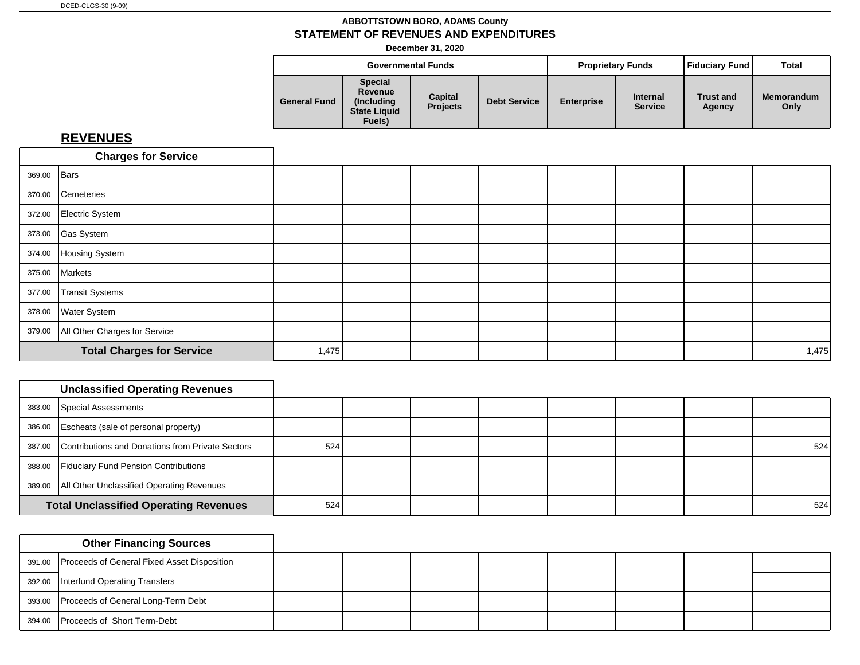**December 31, 2020**

|                     | <b>Governmental Funds</b>                                                 |                            |                     | <b>Proprietary Funds</b> |                                   | Fiduciary Fund             | Total                     |
|---------------------|---------------------------------------------------------------------------|----------------------------|---------------------|--------------------------|-----------------------------------|----------------------------|---------------------------|
| <b>General Fund</b> | <b>Special</b><br>Revenue<br>(Includina)<br><b>State Liquid</b><br>Fuels) | Capital<br><b>Projects</b> | <b>Debt Service</b> | <b>Enterprise</b>        | <b>Internal</b><br><b>Service</b> | <b>Trust and</b><br>Agency | <b>Memorandum</b><br>Only |

|             | <b>Charges for Service</b>           |       |  |  |  |       |
|-------------|--------------------------------------|-------|--|--|--|-------|
| 369.00 Bars |                                      |       |  |  |  |       |
| 370.00      | Cemeteries                           |       |  |  |  |       |
|             | 372.00 Electric System               |       |  |  |  |       |
|             | 373.00 Gas System                    |       |  |  |  |       |
|             | 374.00 Housing System                |       |  |  |  |       |
|             | 375.00 Markets                       |       |  |  |  |       |
| 377.00      | Transit Systems                      |       |  |  |  |       |
|             | 378.00 Water System                  |       |  |  |  |       |
|             | 379.00 All Other Charges for Service |       |  |  |  |       |
|             | <b>Total Charges for Service</b>     | 1,475 |  |  |  | 1,475 |

| <b>Unclassified Operating Revenues</b>                  |     |  |  |  |     |
|---------------------------------------------------------|-----|--|--|--|-----|
| 383.00 Special Assessments                              |     |  |  |  |     |
| 386.00 Escheats (sale of personal property)             |     |  |  |  |     |
| 387.00 Contributions and Donations from Private Sectors | 524 |  |  |  | 524 |
| 388.00 Fiduciary Fund Pension Contributions             |     |  |  |  |     |
| 389.00   All Other Unclassified Operating Revenues      |     |  |  |  |     |
| <b>Total Unclassified Operating Revenues</b>            | 524 |  |  |  | 524 |

| <b>Other Financing Sources</b>                     |  |  |  |  |
|----------------------------------------------------|--|--|--|--|
| 391.00 Proceeds of General Fixed Asset Disposition |  |  |  |  |
| 392.00   Interfund Operating Transfers             |  |  |  |  |
| 393.00 Proceeds of General Long-Term Debt          |  |  |  |  |
| 394.00 Proceeds of Short Term-Debt                 |  |  |  |  |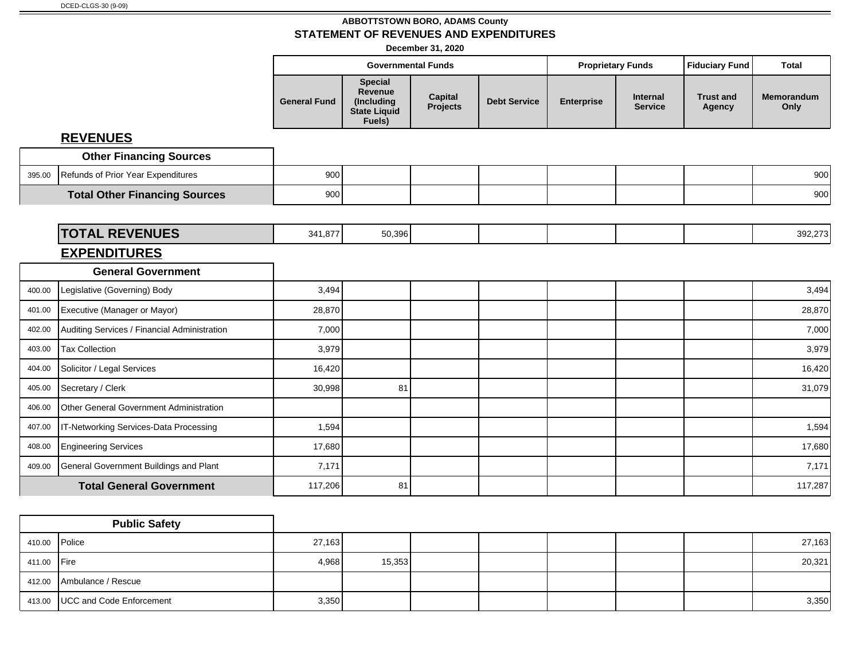**December 31, 2020**

|        |                                               |                     | <b>Governmental Funds</b>                                                |                            |                     |                   | <b>Proprietary Funds</b>   | <b>Fiduciary Fund</b>      | <b>Total</b>       |
|--------|-----------------------------------------------|---------------------|--------------------------------------------------------------------------|----------------------------|---------------------|-------------------|----------------------------|----------------------------|--------------------|
|        |                                               | <b>General Fund</b> | <b>Special</b><br>Revenue<br>(Including<br><b>State Liquid</b><br>Fuels) | <b>Capital</b><br>Projects | <b>Debt Service</b> | <b>Enterprise</b> | Internal<br><b>Service</b> | <b>Trust and</b><br>Agency | Memorandum<br>Only |
|        | <b>REVENUES</b>                               |                     |                                                                          |                            |                     |                   |                            |                            |                    |
|        | <b>Other Financing Sources</b>                |                     |                                                                          |                            |                     |                   |                            |                            |                    |
| 395.00 | Refunds of Prior Year Expenditures            | 900                 |                                                                          |                            |                     |                   |                            |                            | 900                |
|        | <b>Total Other Financing Sources</b>          | 900                 |                                                                          |                            |                     |                   |                            |                            | 900                |
|        |                                               |                     |                                                                          |                            |                     |                   |                            |                            |                    |
|        | <b>TOTAL REVENUES</b>                         | 341,877             | 50,396                                                                   |                            |                     |                   |                            |                            | 392,273            |
|        | <b>EXPENDITURES</b>                           |                     |                                                                          |                            |                     |                   |                            |                            |                    |
|        | <b>General Government</b>                     |                     |                                                                          |                            |                     |                   |                            |                            |                    |
| 400.00 | Legislative (Governing) Body                  | 3,494               |                                                                          |                            |                     |                   |                            |                            | 3,494              |
| 401.00 | Executive (Manager or Mayor)                  | 28,870              |                                                                          |                            |                     |                   |                            |                            | 28,870             |
| 402.00 | Auditing Services / Financial Administration  | 7,000               |                                                                          |                            |                     |                   |                            |                            | 7,000              |
| 403.00 | <b>Tax Collection</b>                         | 3,979               |                                                                          |                            |                     |                   |                            |                            | 3,979              |
| 404.00 | Solicitor / Legal Services                    | 16,420              |                                                                          |                            |                     |                   |                            |                            | 16,420             |
| 405.00 | Secretary / Clerk                             | 30,998              | 81                                                                       |                            |                     |                   |                            |                            | 31,079             |
| 406.00 | Other General Government Administration       |                     |                                                                          |                            |                     |                   |                            |                            |                    |
| 407.00 | IT-Networking Services-Data Processing        | 1,594               |                                                                          |                            |                     |                   |                            |                            | 1,594              |
| 408.00 | <b>Engineering Services</b>                   | 17,680              |                                                                          |                            |                     |                   |                            |                            | 17,680             |
| 409.00 | <b>General Government Buildings and Plant</b> | 7,171               |                                                                          |                            |                     |                   |                            |                            | 7,171              |
|        | <b>Total General Government</b>               | 117,206             | 81                                                                       |                            |                     |                   |                            |                            | 117,287            |

|               | <b>Public Safety</b>              |        |        |  |  |        |
|---------------|-----------------------------------|--------|--------|--|--|--------|
| 410.00 Police |                                   | 27,163 |        |  |  | 27,163 |
| 411.00 Fire   |                                   | 4,968  | 15,353 |  |  | 20,321 |
|               | 412.00 Ambulance / Rescue         |        |        |  |  |        |
|               | 413.00   UCC and Code Enforcement | 3,350  |        |  |  | 3,350  |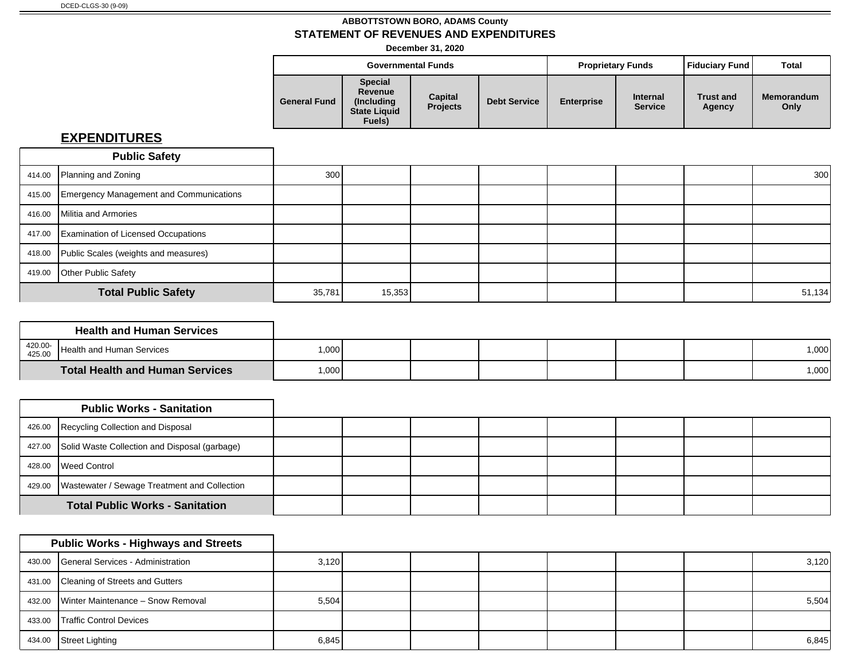**December 31, 2020**

|                     |                                                                           | <b>Governmental Funds</b>  |                     |                   | <b>Proprietary Funds</b>          | Fiduciary Fund             | <b>Total</b>              |
|---------------------|---------------------------------------------------------------------------|----------------------------|---------------------|-------------------|-----------------------------------|----------------------------|---------------------------|
| <b>General Fund</b> | <b>Special</b><br>Revenue<br>(Includina)<br><b>State Liquid</b><br>Fuels) | Capital<br><b>Projects</b> | <b>Debt Service</b> | <b>Enterprise</b> | <b>Internal</b><br><b>Service</b> | <b>Trust and</b><br>Agency | <b>Memorandum</b><br>Only |

|        | <b>Public Safety</b>                           |                  |        |  |  |        |
|--------|------------------------------------------------|------------------|--------|--|--|--------|
|        | 414.00 Planning and Zoning                     | 300 <sup>1</sup> |        |  |  | 300    |
| 415.00 | <b>Emergency Management and Communications</b> |                  |        |  |  |        |
| 416.00 | Militia and Armories                           |                  |        |  |  |        |
|        | 417.00 Examination of Licensed Occupations     |                  |        |  |  |        |
| 418.00 | Public Scales (weights and measures)           |                  |        |  |  |        |
| 419.00 | <b>Other Public Safety</b>                     |                  |        |  |  |        |
|        | <b>Total Public Safety</b>                     | 35,781           | 15,353 |  |  | 51,134 |

|                   | <b>Health and Human Services</b>       |      |  |  |  |        |
|-------------------|----------------------------------------|------|--|--|--|--------|
| 420.00-<br>425.00 | Health and Human Services              | ,000 |  |  |  | 000, 1 |
|                   | <b>Total Health and Human Services</b> | ,000 |  |  |  | 1,000  |

|                                        | <b>Public Works - Sanitation</b>                      |  |  |  |  |
|----------------------------------------|-------------------------------------------------------|--|--|--|--|
|                                        | 426.00 Recycling Collection and Disposal              |  |  |  |  |
|                                        | 427.00 Solid Waste Collection and Disposal (garbage)  |  |  |  |  |
|                                        | 428.00 Weed Control                                   |  |  |  |  |
|                                        | 429.00   Wastewater / Sewage Treatment and Collection |  |  |  |  |
| <b>Total Public Works - Sanitation</b> |                                                       |  |  |  |  |

|        | <b>Public Works - Highways and Streets</b> |       |  |  |  |       |
|--------|--------------------------------------------|-------|--|--|--|-------|
|        | 430.00 General Services - Administration   | 3,120 |  |  |  | 3,120 |
|        | 431.00 Cleaning of Streets and Gutters     |       |  |  |  |       |
|        | 432.00 Winter Maintenance - Snow Removal   | 5,504 |  |  |  | 5,504 |
| 433.00 | <b>Traffic Control Devices</b>             |       |  |  |  |       |
| 434.00 | Street Lighting                            | 6,845 |  |  |  | 6,845 |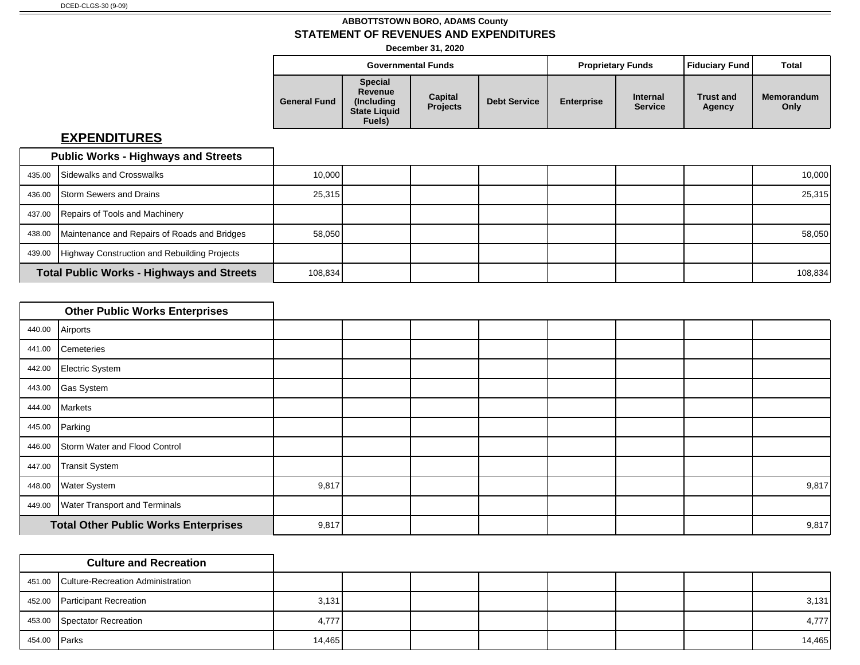**December 31, 2020**

|                     |                                                                           | <b>Governmental Funds</b>  |                     |                   | <b>Proprietary Funds</b>          | <b>Fiduciary Fund</b>      | Total                     |
|---------------------|---------------------------------------------------------------------------|----------------------------|---------------------|-------------------|-----------------------------------|----------------------------|---------------------------|
| <b>General Fund</b> | <b>Special</b><br>Revenue<br>(Including)<br><b>State Liquid</b><br>Fuels) | Capital<br><b>Projects</b> | <b>Debt Service</b> | <b>Enterprise</b> | <b>Internal</b><br><b>Service</b> | <b>Trust and</b><br>Agency | <b>Memorandum</b><br>Only |

|        | <b>Public Works - Highways and Streets</b>       |        |         |  |  |         |
|--------|--------------------------------------------------|--------|---------|--|--|---------|
| 435.00 | <b>Sidewalks and Crosswalks</b>                  | 10,000 |         |  |  | 10,000  |
| 436.00 | <b>Storm Sewers and Drains</b>                   | 25,315 |         |  |  | 25,315  |
|        | 437.00 Repairs of Tools and Machinery            |        |         |  |  |         |
| 438.00 | Maintenance and Repairs of Roads and Bridges     | 58,050 |         |  |  | 58,050  |
| 439.00 | Highway Construction and Rebuilding Projects     |        |         |  |  |         |
|        | <b>Total Public Works - Highways and Streets</b> |        | 108,834 |  |  | 108,834 |

|        | <b>Other Public Works Enterprises</b>       |       |  |  |  |       |
|--------|---------------------------------------------|-------|--|--|--|-------|
|        | 440.00 Airports                             |       |  |  |  |       |
| 441.00 | Cemeteries                                  |       |  |  |  |       |
| 442.00 | Electric System                             |       |  |  |  |       |
| 443.00 | Gas System                                  |       |  |  |  |       |
| 444.00 | Markets                                     |       |  |  |  |       |
| 445.00 | Parking                                     |       |  |  |  |       |
| 446.00 | Storm Water and Flood Control               |       |  |  |  |       |
| 447.00 | Transit System                              |       |  |  |  |       |
| 448.00 | <b>Water System</b>                         | 9,817 |  |  |  | 9,817 |
| 449.00 | <b>Water Transport and Terminals</b>        |       |  |  |  |       |
|        | <b>Total Other Public Works Enterprises</b> | 9,817 |  |  |  | 9,817 |

|              | <b>Culture and Recreation</b>            |        |  |  |  |        |
|--------------|------------------------------------------|--------|--|--|--|--------|
|              | 451.00 Culture-Recreation Administration |        |  |  |  |        |
|              | 452.00 Participant Recreation            | 3,131  |  |  |  | 3,131  |
|              | 453.00 Spectator Recreation              | 4,777  |  |  |  | 4,777  |
| 454.00 Parks |                                          | 14,465 |  |  |  | 14,465 |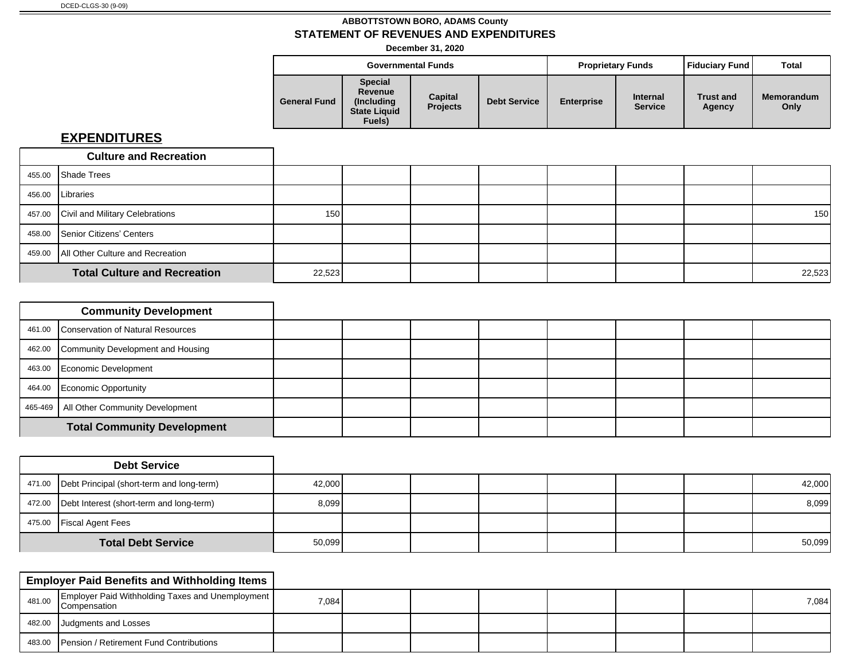**December 31, 2020**

|                     |                                                                           | <b>Governmental Funds</b>  |                     | <b>Proprietary Funds</b> |                                   | Fiduciary Fund             | Total                     |
|---------------------|---------------------------------------------------------------------------|----------------------------|---------------------|--------------------------|-----------------------------------|----------------------------|---------------------------|
| <b>General Fund</b> | <b>Special</b><br>Revenue<br>(Includina)<br><b>State Liquid</b><br>Fuels) | Capital<br><b>Projects</b> | <b>Debt Service</b> | <b>Enterprise</b>        | <b>Internal</b><br><b>Service</b> | <b>Trust and</b><br>Agency | <b>Memorandum</b><br>Only |

| <b>Culture and Recreation</b>             |                  |        |  |  |        |
|-------------------------------------------|------------------|--------|--|--|--------|
| 455.00 Shade Trees                        |                  |        |  |  |        |
| 456.00   Libraries                        |                  |        |  |  |        |
| 457.00 Civil and Military Celebrations    | 150 <sup>1</sup> |        |  |  | 150    |
| 458.00 Senior Citizens' Centers           |                  |        |  |  |        |
| 459.00   All Other Culture and Recreation |                  |        |  |  |        |
| <b>Total Culture and Recreation</b>       |                  | 22,523 |  |  | 22,523 |

| <b>Community Development</b>              |  |  |  |  |
|-------------------------------------------|--|--|--|--|
| 461.00 Conservation of Natural Resources  |  |  |  |  |
| 462.00 Community Development and Housing  |  |  |  |  |
| 463.00 Economic Development               |  |  |  |  |
| 464.00 Economic Opportunity               |  |  |  |  |
| 465-469   All Other Community Development |  |  |  |  |
| <b>Total Community Development</b>        |  |  |  |  |

|                           | <b>Debt Service</b>                                |        |  |  |  |        |
|---------------------------|----------------------------------------------------|--------|--|--|--|--------|
|                           | 471.00   Debt Principal (short-term and long-term) | 42,000 |  |  |  | 42,000 |
|                           | 472.00 Debt Interest (short-term and long-term)    | 8,099  |  |  |  | 8,099  |
|                           | 475.00 Fiscal Agent Fees                           |        |  |  |  |        |
| <b>Total Debt Service</b> |                                                    | 50,099 |  |  |  | 50,099 |

|        | <b>Employer Paid Benefits and Withholding Items</b>                       |       |  |  |  |       |
|--------|---------------------------------------------------------------------------|-------|--|--|--|-------|
| 481.00 | Employer Paid Withholding Taxes and Unemployment  <br><b>Compensation</b> | 7,084 |  |  |  | 7,084 |
|        | 482.00 Judgments and Losses                                               |       |  |  |  |       |
|        | 483.00 Pension / Retirement Fund Contributions                            |       |  |  |  |       |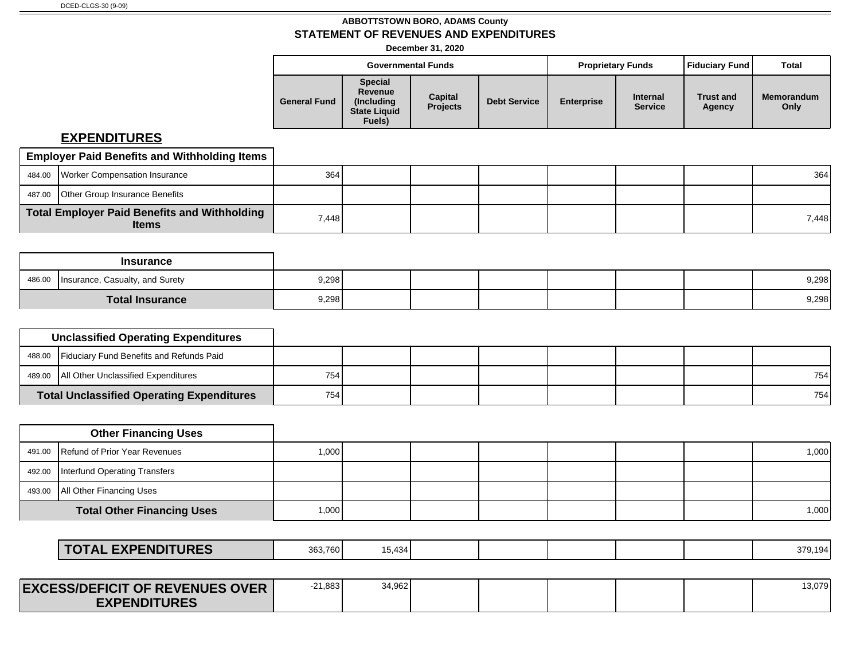**December 31, 2020**

|                     |                                                                           | <b>Governmental Funds</b>  |                     |                   | <b>Proprietary Funds</b>          | <b>Fiduciary Fund</b>      | Total              |
|---------------------|---------------------------------------------------------------------------|----------------------------|---------------------|-------------------|-----------------------------------|----------------------------|--------------------|
| <b>General Fund</b> | <b>Special</b><br>Revenue<br>(Including)<br><b>State Liquid</b><br>Fuels) | Capital<br><b>Projects</b> | <b>Debt Service</b> | <b>Enterprise</b> | <b>Internal</b><br><b>Service</b> | <b>Trust and</b><br>Agency | Memorandum<br>Only |

| <b>Employer Paid Benefits and Withholding Items</b>          |       |  |  |  |       |
|--------------------------------------------------------------|-------|--|--|--|-------|
| 484.00 Worker Compensation Insurance                         | 364   |  |  |  | 364   |
| 487.00 Other Group Insurance Benefits                        |       |  |  |  |       |
| Total Employer Paid Benefits and Withholding<br><b>Items</b> | 7,448 |  |  |  | 7,448 |

|        | Insurance                                      |       |  |  |  |       |
|--------|------------------------------------------------|-------|--|--|--|-------|
| 486.00 | <sup>1</sup>   Insurance, Casualty, and Surety | 9,298 |  |  |  | 9,298 |
|        | <b>Total Insurance</b>                         | 9,298 |  |  |  | 9,298 |

| <b>Unclassified Operating Expenditures</b>       |     |  |  |  |     |
|--------------------------------------------------|-----|--|--|--|-----|
| 488.00 Fiduciary Fund Benefits and Refunds Paid  |     |  |  |  |     |
| 489.00   All Other Unclassified Expenditures     | 754 |  |  |  | 754 |
| <b>Total Unclassified Operating Expenditures</b> | 754 |  |  |  | 754 |

| <b>Other Financing Uses</b>            |        |  |  |  |       |
|----------------------------------------|--------|--|--|--|-------|
| 491.00 Refund of Prior Year Revenues   | 1.0001 |  |  |  | 1,000 |
| 492.00   Interfund Operating Transfers |        |  |  |  |       |
| 493.00   All Other Financing Uses      |        |  |  |  |       |
| <b>Total Other Financing Uses</b>      | 1,000  |  |  |  | 1,000 |

| <b>EXPENDITURES</b><br><b>TOTAL</b><br>363.760<br>ட∧г | 15.434 |  |  |  |  |  | 70 1 0 4 |
|-------------------------------------------------------|--------|--|--|--|--|--|----------|
|-------------------------------------------------------|--------|--|--|--|--|--|----------|

| <b>EXCESS/DEFICIT OF REVENUES OVER</b> | $-21,883$ | 34,962 |  |  | 13,079 |
|----------------------------------------|-----------|--------|--|--|--------|
| <b>EXPENDITURES</b>                    |           |        |  |  |        |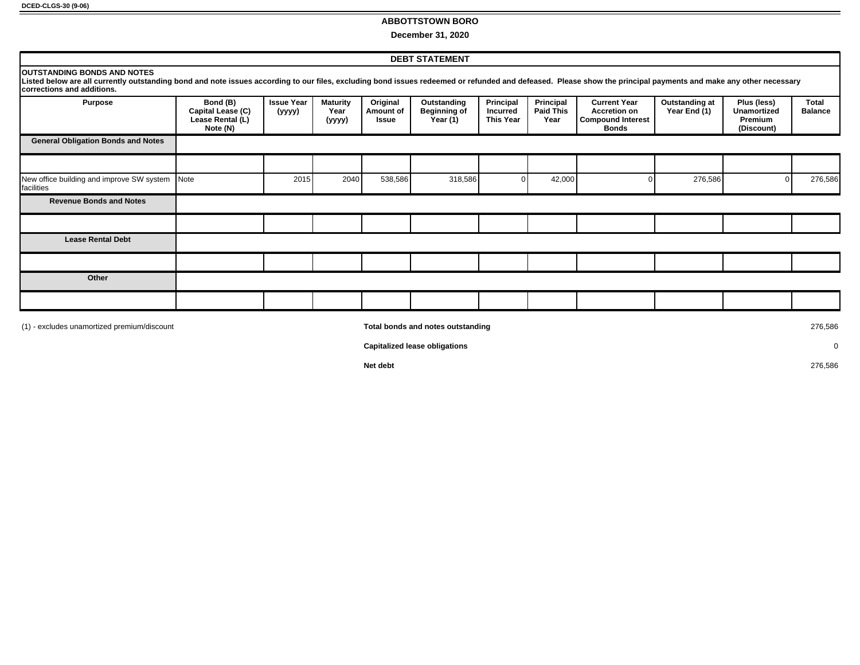**DCED-CLGS-30 (9-06)**

#### **ABBOTTSTOWN BORO**

**December 31, 2020**

|                                                                                                                                                                                                                                                                                       | <b>DEBT STATEMENT</b>                                         |                             |                                   |                                |                                                |                                                  |                                       |                                                                                        |                                |                                                     |                         |
|---------------------------------------------------------------------------------------------------------------------------------------------------------------------------------------------------------------------------------------------------------------------------------------|---------------------------------------------------------------|-----------------------------|-----------------------------------|--------------------------------|------------------------------------------------|--------------------------------------------------|---------------------------------------|----------------------------------------------------------------------------------------|--------------------------------|-----------------------------------------------------|-------------------------|
| <b>OUTSTANDING BONDS AND NOTES</b><br>Listed below are all currently outstanding bond and note issues according to our files, excluding bond issues redeemed or refunded and defeased. Please show the principal payments and make any other necessary<br>Icorrections and additions. |                                                               |                             |                                   |                                |                                                |                                                  |                                       |                                                                                        |                                |                                                     |                         |
| <b>Purpose</b>                                                                                                                                                                                                                                                                        | Bond (B)<br>Capital Lease (C)<br>Lease Rental (L)<br>Note (N) | <b>Issue Year</b><br>(yyyy) | <b>Maturity</b><br>Year<br>(yyyy) | Original<br>Amount of<br>Issue | Outstanding<br><b>Beginning of</b><br>Year (1) | Principal<br><b>Incurred</b><br><b>This Year</b> | Principal<br><b>Paid This</b><br>Year | <b>Current Year</b><br><b>Accretion on</b><br><b>Compound Interest</b><br><b>Bonds</b> | Outstanding at<br>Year End (1) | Plus (less)<br>Unamortized<br>Premium<br>(Discount) | Total<br><b>Balance</b> |
| <b>General Obligation Bonds and Notes</b>                                                                                                                                                                                                                                             |                                                               |                             |                                   |                                |                                                |                                                  |                                       |                                                                                        |                                |                                                     |                         |
|                                                                                                                                                                                                                                                                                       |                                                               |                             |                                   |                                |                                                |                                                  |                                       |                                                                                        |                                |                                                     |                         |
| New office building and improve SW system Note<br>facilities                                                                                                                                                                                                                          |                                                               | 2015                        | 2040                              | 538,586                        | 318,586                                        |                                                  | 42,000                                |                                                                                        | 276,586                        |                                                     | 276,586                 |
| <b>Revenue Bonds and Notes</b>                                                                                                                                                                                                                                                        |                                                               |                             |                                   |                                |                                                |                                                  |                                       |                                                                                        |                                |                                                     |                         |
|                                                                                                                                                                                                                                                                                       |                                                               |                             |                                   |                                |                                                |                                                  |                                       |                                                                                        |                                |                                                     |                         |
| <b>Lease Rental Debt</b>                                                                                                                                                                                                                                                              |                                                               |                             |                                   |                                |                                                |                                                  |                                       |                                                                                        |                                |                                                     |                         |
|                                                                                                                                                                                                                                                                                       |                                                               |                             |                                   |                                |                                                |                                                  |                                       |                                                                                        |                                |                                                     |                         |
| Other                                                                                                                                                                                                                                                                                 |                                                               |                             |                                   |                                |                                                |                                                  |                                       |                                                                                        |                                |                                                     |                         |
|                                                                                                                                                                                                                                                                                       |                                                               |                             |                                   |                                |                                                |                                                  |                                       |                                                                                        |                                |                                                     |                         |

(1) - excludes unamortized premium/discount **Total bonds and notes outstanding** 276,586

**Capitalized lease obligations** 0

**Net debt** 276,586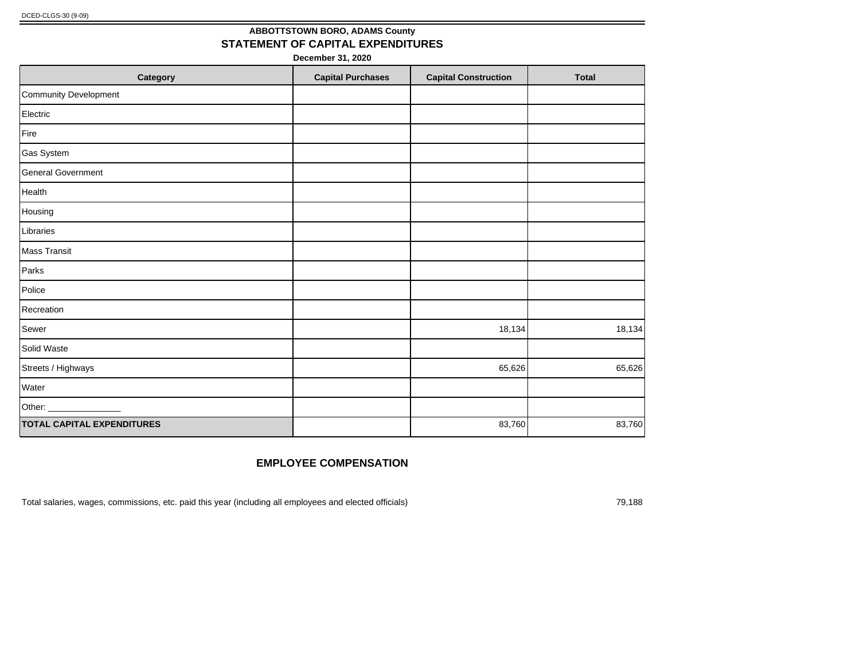## **ABBOTTSTOWN BORO, ADAMS County STATEMENT OF CAPITAL EXPENDITURES**

**December 31, 2020**

| Category                          | <b>Capital Purchases</b> | <b>Capital Construction</b> | <b>Total</b> |
|-----------------------------------|--------------------------|-----------------------------|--------------|
| Community Development             |                          |                             |              |
| Electric                          |                          |                             |              |
| Fire                              |                          |                             |              |
| Gas System                        |                          |                             |              |
| <b>General Government</b>         |                          |                             |              |
| Health                            |                          |                             |              |
| Housing                           |                          |                             |              |
| Libraries                         |                          |                             |              |
| Mass Transit                      |                          |                             |              |
| Parks                             |                          |                             |              |
| Police                            |                          |                             |              |
| Recreation                        |                          |                             |              |
| Sewer                             |                          | 18,134                      | 18,134       |
| Solid Waste                       |                          |                             |              |
| Streets / Highways                |                          | 65,626                      | 65,626       |
| Water                             |                          |                             |              |
| Other: _                          |                          |                             |              |
| <b>TOTAL CAPITAL EXPENDITURES</b> |                          | 83,760                      | 83,760       |

#### **EMPLOYEE COMPENSATION**

Total salaries, wages, commissions, etc. paid this year (including all employees and elected officials) 79,188